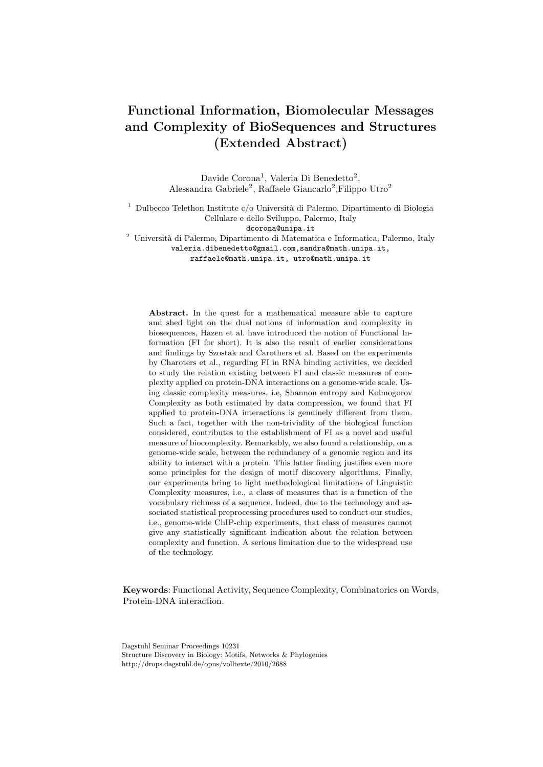# **Functional Information, Biomolecular Messages and Complexity of BioSequences and Structures (Extended Abstract)**

Davide Corona<sup>1</sup>, Valeria Di Benedetto<sup>2</sup>, Alessandra Gabriele<sup>2</sup>, Raffaele Giancarlo<sup>2</sup>, Filippo Utro<sup>2</sup>

<sup>1</sup> Dulbecco Telethon Institute c/o Università di Palermo, Dipartimento di Biologia Cellulare e dello Sviluppo, Palermo, Italy

dcorona@unipa.it

<sup>2</sup> Università di Palermo, Dipartimento di Matematica e Informatica, Palermo, Italy

valeria.dibenedetto@gmail.com,sandra@math.unipa.it,

raffaele@math.unipa.it, utro@math.unipa.it

**Abstract.** In the quest for a mathematical measure able to capture and shed light on the dual notions of information and complexity in biosequences, Hazen et al. have introduced the notion of Functional Information (FI for short). It is also the result of earlier considerations and findings by Szostak and Carothers et al. Based on the experiments by Charoters et al., regarding FI in RNA binding activities, we decided to study the relation existing between FI and classic measures of complexity applied on protein-DNA interactions on a genome-wide scale. Using classic complexity measures, i.e, Shannon entropy and Kolmogorov Complexity as both estimated by data compression, we found that FI applied to protein-DNA interactions is genuinely different from them. Such a fact, together with the non-triviality of the biological function considered, contributes to the establishment of FI as a novel and useful measure of biocomplexity. Remarkably, we also found a relationship, on a genome-wide scale, between the redundancy of a genomic region and its ability to interact with a protein. This latter finding justifies even more some principles for the design of motif discovery algorithms. Finally, our experiments bring to light methodological limitations of Linguistic Complexity measures, i.e., a class of measures that is a function of the vocabulary richness of a sequence. Indeed, due to the technology and associated statistical preprocessing procedures used to conduct our studies, i.e., genome-wide ChIP-chip experiments, that class of measures cannot give any statistically significant indication about the relation between complexity and function. A serious limitation due to the widespread use of the technology.

**Keywords**: Functional Activity, Sequence Complexity, Combinatorics on Words, Protein-DNA interaction.

Dagstuhl Seminar Proceedings 10231 Structure Discovery in Biology: Motifs, Networks & Phylogenies http://drops.dagstuhl.de/opus/volltexte/2010/2688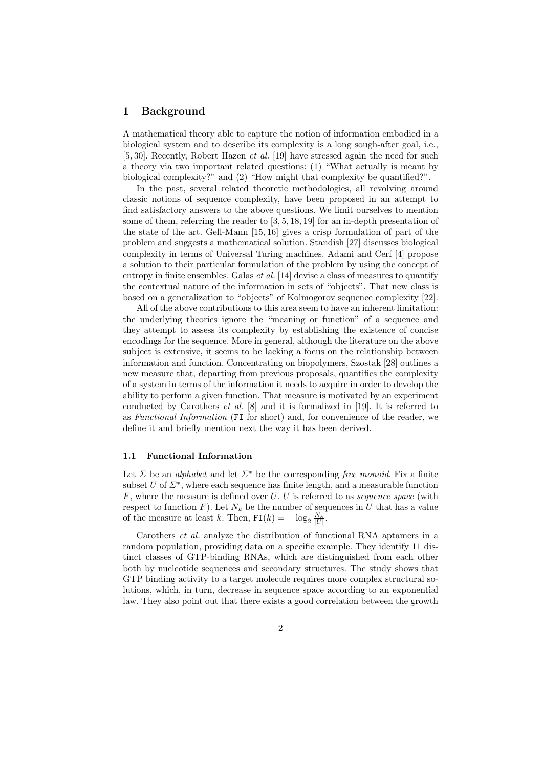# **1 Background**

A mathematical theory able to capture the notion of information embodied in a biological system and to describe its complexity is a long sough-after goal, i.e., [5, 30]. Recently, Robert Hazen *et al.* [19] have stressed again the need for such a theory via two important related questions: (1) "What actually is meant by biological complexity?" and (2) "How might that complexity be quantified?".

In the past, several related theoretic methodologies, all revolving around classic notions of sequence complexity, have been proposed in an attempt to find satisfactory answers to the above questions. We limit ourselves to mention some of them, referring the reader to [3, 5, 18, 19] for an in-depth presentation of the state of the art. Gell-Mann [15, 16] gives a crisp formulation of part of the problem and suggests a mathematical solution. Standish [27] discusses biological complexity in terms of Universal Turing machines. Adami and Cerf [4] propose a solution to their particular formulation of the problem by using the concept of entropy in finite ensembles. Galas *et al.* [14] devise a class of measures to quantify the contextual nature of the information in sets of "objects". That new class is based on a generalization to "objects" of Kolmogorov sequence complexity [22].

All of the above contributions to this area seem to have an inherent limitation: the underlying theories ignore the "meaning or function" of a sequence and they attempt to assess its complexity by establishing the existence of concise encodings for the sequence. More in general, although the literature on the above subject is extensive, it seems to be lacking a focus on the relationship between information and function. Concentrating on biopolymers, Szostak [28] outlines a new measure that, departing from previous proposals, quantifies the complexity of a system in terms of the information it needs to acquire in order to develop the ability to perform a given function. That measure is motivated by an experiment conducted by Carothers *et al.* [8] and it is formalized in [19]. It is referred to as *Functional Information* (FI for short) and, for convenience of the reader, we define it and briefly mention next the way it has been derived.

#### **1.1 Functional Information**

Let  $\Sigma$  be an *alphabet* and let  $\Sigma^*$  be the corresponding *free monoid*. Fix a finite subset  $U$  of  $\Sigma^*$ , where each sequence has finite length, and a measurable function *F*, where the measure is defined over *U*. *U* is referred to as *sequence space* (with respect to function  $F$ ). Let  $N_k$  be the number of sequences in  $U$  that has a value of the measure at least *k*. Then,  $FI(k) = -\log_2 \frac{N_k}{|U|}$ .

Carothers *et al.* analyze the distribution of functional RNA aptamers in a random population, providing data on a specific example. They identify 11 distinct classes of GTP-binding RNAs, which are distinguished from each other both by nucleotide sequences and secondary structures. The study shows that GTP binding activity to a target molecule requires more complex structural solutions, which, in turn, decrease in sequence space according to an exponential law. They also point out that there exists a good correlation between the growth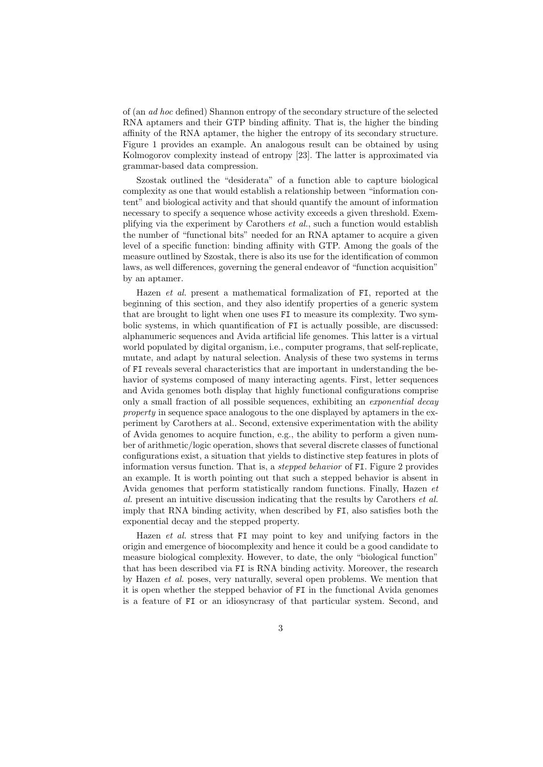of (an *ad hoc* defined) Shannon entropy of the secondary structure of the selected RNA aptamers and their GTP binding affinity. That is, the higher the binding affinity of the RNA aptamer, the higher the entropy of its secondary structure. Figure 1 provides an example. An analogous result can be obtained by using Kolmogorov complexity instead of entropy [23]. The latter is approximated via grammar-based data compression.

Szostak outlined the "desiderata" of a function able to capture biological complexity as one that would establish a relationship between "information content" and biological activity and that should quantify the amount of information necessary to specify a sequence whose activity exceeds a given threshold. Exemplifying via the experiment by Carothers *et al.*, such a function would establish the number of "functional bits" needed for an RNA aptamer to acquire a given level of a specific function: binding affinity with GTP. Among the goals of the measure outlined by Szostak, there is also its use for the identification of common laws, as well differences, governing the general endeavor of "function acquisition" by an aptamer.

Hazen *et al.* present a mathematical formalization of FI, reported at the beginning of this section, and they also identify properties of a generic system that are brought to light when one uses FI to measure its complexity. Two symbolic systems, in which quantification of FI is actually possible, are discussed: alphanumeric sequences and Avida artificial life genomes. This latter is a virtual world populated by digital organism, i.e., computer programs, that self-replicate, mutate, and adapt by natural selection. Analysis of these two systems in terms of FI reveals several characteristics that are important in understanding the behavior of systems composed of many interacting agents. First, letter sequences and Avida genomes both display that highly functional configurations comprise only a small fraction of all possible sequences, exhibiting an *exponential decay property* in sequence space analogous to the one displayed by aptamers in the experiment by Carothers at al.. Second, extensive experimentation with the ability of Avida genomes to acquire function, e.g., the ability to perform a given number of arithmetic/logic operation, shows that several discrete classes of functional configurations exist, a situation that yields to distinctive step features in plots of information versus function. That is, a *stepped behavior* of FI. Figure 2 provides an example. It is worth pointing out that such a stepped behavior is absent in Avida genomes that perform statistically random functions. Finally, Hazen *et al.* present an intuitive discussion indicating that the results by Carothers *et al.* imply that RNA binding activity, when described by FI, also satisfies both the exponential decay and the stepped property.

Hazen *et al.* stress that FI may point to key and unifying factors in the origin and emergence of biocomplexity and hence it could be a good candidate to measure biological complexity. However, to date, the only "biological function" that has been described via FI is RNA binding activity. Moreover, the research by Hazen *et al.* poses, very naturally, several open problems. We mention that it is open whether the stepped behavior of FI in the functional Avida genomes is a feature of FI or an idiosyncrasy of that particular system. Second, and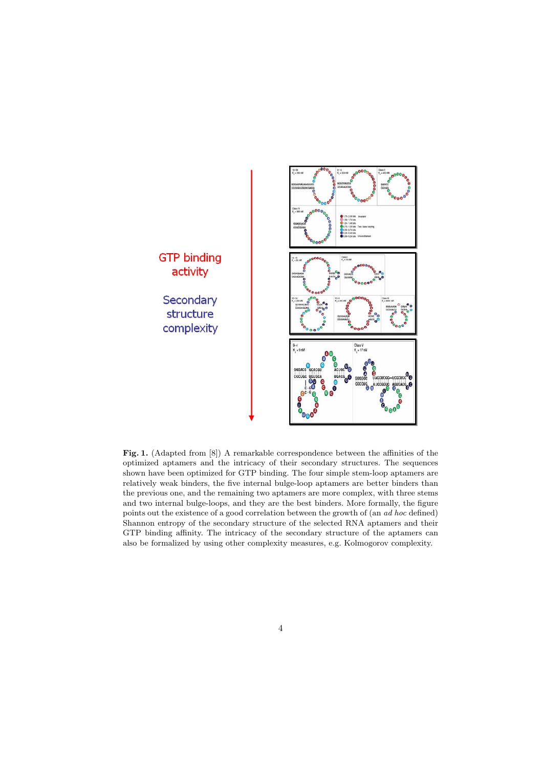

Fig. 1. (Adapted from [8]) A remarkable correspondence between the affinities of the optimized aptamers and the intricacy of their secondary structures. The sequences shown have been optimized for GTP binding. The four simple stem-loop aptamers are relatively weak binders, the five internal bulge-loop aptamers are better binders than the previous one, and the remaining two aptamers are more complex, with three stems and two internal bulge-loops, and they are the best binders. More formally, the figure points out the existence of a good correlation between the growth of (an *ad hoc* defined) Shannon entropy of the secondary structure of the selected RNA aptamers and their GTP binding affinity. The intricacy of the secondary structure of the aptamers can also be formalized by using other complexity measures, e.g. Kolmogorov complexity.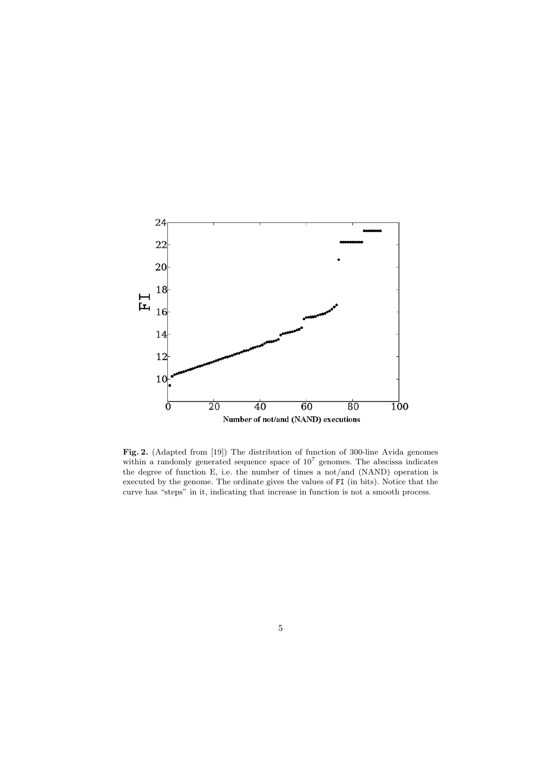

**Fig. 2.** (Adapted from [19]) The distribution of function of 300-line Avida genomes within a randomly generated sequence space of  $10^7$  genomes. The abscissa indicates the degree of function E, i.e. the number of times a not/and (NAND) operation is executed by the genome. The ordinate gives the values of FI (in bits). Notice that the curve has "steps" in it, indicating that increase in function is not a smooth process.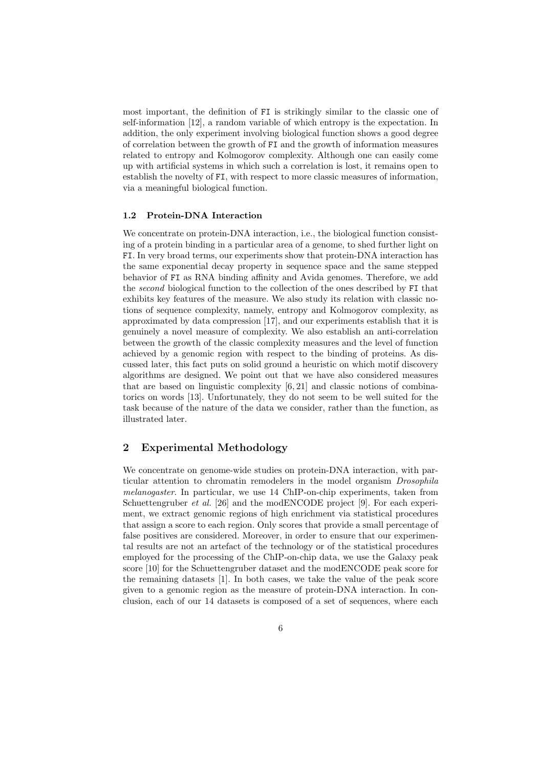most important, the definition of FI is strikingly similar to the classic one of self-information [12], a random variable of which entropy is the expectation. In addition, the only experiment involving biological function shows a good degree of correlation between the growth of FI and the growth of information measures related to entropy and Kolmogorov complexity. Although one can easily come up with artificial systems in which such a correlation is lost, it remains open to establish the novelty of FI, with respect to more classic measures of information, via a meaningful biological function.

## **1.2 Protein-DNA Interaction**

We concentrate on protein-DNA interaction, i.e., the biological function consisting of a protein binding in a particular area of a genome, to shed further light on FI. In very broad terms, our experiments show that protein-DNA interaction has the same exponential decay property in sequence space and the same stepped behavior of FI as RNA binding affinity and Avida genomes. Therefore, we add the *second* biological function to the collection of the ones described by FI that exhibits key features of the measure. We also study its relation with classic notions of sequence complexity, namely, entropy and Kolmogorov complexity, as approximated by data compression [17], and our experiments establish that it is genuinely a novel measure of complexity. We also establish an anti-correlation between the growth of the classic complexity measures and the level of function achieved by a genomic region with respect to the binding of proteins. As discussed later, this fact puts on solid ground a heuristic on which motif discovery algorithms are designed. We point out that we have also considered measures that are based on linguistic complexity  $[6, 21]$  and classic notions of combinatorics on words [13]. Unfortunately, they do not seem to be well suited for the task because of the nature of the data we consider, rather than the function, as illustrated later.

# **2 Experimental Methodology**

We concentrate on genome-wide studies on protein-DNA interaction, with particular attention to chromatin remodelers in the model organism *Drosophila melanogaster*. In particular, we use 14 ChIP-on-chip experiments, taken from Schuettengruber *et al.* [26] and the modENCODE project [9]. For each experiment, we extract genomic regions of high enrichment via statistical procedures that assign a score to each region. Only scores that provide a small percentage of false positives are considered. Moreover, in order to ensure that our experimental results are not an artefact of the technology or of the statistical procedures employed for the processing of the ChIP-on-chip data, we use the Galaxy peak score [10] for the Schuettengruber dataset and the modENCODE peak score for the remaining datasets [1]. In both cases, we take the value of the peak score given to a genomic region as the measure of protein-DNA interaction. In conclusion, each of our 14 datasets is composed of a set of sequences, where each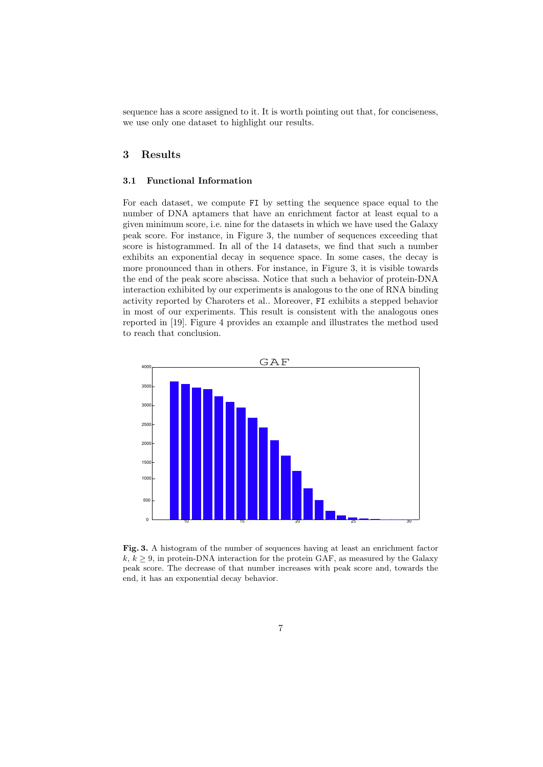sequence has a score assigned to it. It is worth pointing out that, for conciseness, we use only one dataset to highlight our results.

# **3 Results**

#### **3.1 Functional Information**

For each dataset, we compute FI by setting the sequence space equal to the number of DNA aptamers that have an enrichment factor at least equal to a given minimum score, i.e. nine for the datasets in which we have used the Galaxy peak score. For instance, in Figure 3, the number of sequences exceeding that score is histogrammed. In all of the 14 datasets, we find that such a number exhibits an exponential decay in sequence space. In some cases, the decay is more pronounced than in others. For instance, in Figure 3, it is visible towards the end of the peak score abscissa. Notice that such a behavior of protein-DNA interaction exhibited by our experiments is analogous to the one of RNA binding activity reported by Charoters et al.. Moreover, FI exhibits a stepped behavior in most of our experiments. This result is consistent with the analogous ones reported in [19]. Figure 4 provides an example and illustrates the method used to reach that conclusion.



**Fig. 3.** A histogram of the number of sequences having at least an enrichment factor  $k, k \geq 9$ , in protein-DNA interaction for the protein GAF, as measured by the Galaxy peak score. The decrease of that number increases with peak score and, towards the end, it has an exponential decay behavior.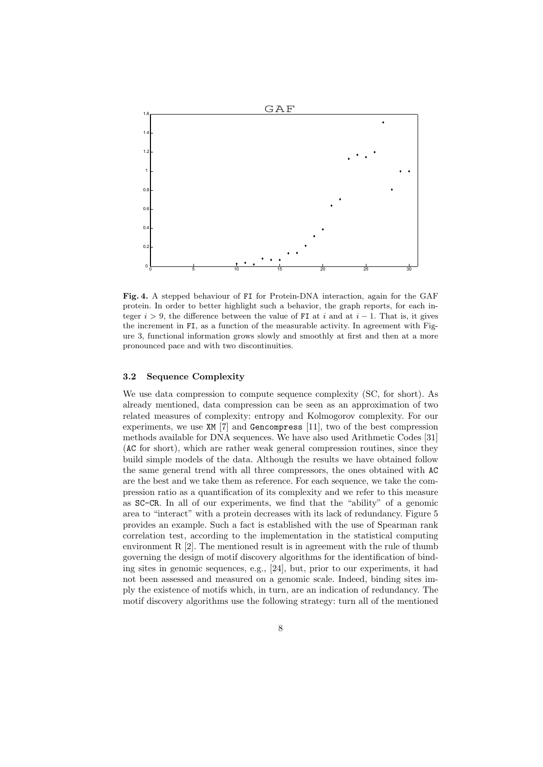

**Fig. 4.** A stepped behaviour of FI for Protein-DNA interaction, again for the GAF protein. In order to better highlight such a behavior, the graph reports, for each integer  $i > 9$ , the difference between the value of FI at *i* and at  $i - 1$ . That is, it gives the increment in FI, as a function of the measurable activity. In agreement with Figure 3, functional information grows slowly and smoothly at first and then at a more pronounced pace and with two discontinuities.

#### **3.2 Sequence Complexity**

We use data compression to compute sequence complexity (SC, for short). As already mentioned, data compression can be seen as an approximation of two related measures of complexity: entropy and Kolmogorov complexity. For our experiments, we use XM [7] and Gencompress [11], two of the best compression methods available for DNA sequences. We have also used Arithmetic Codes [31] (AC for short), which are rather weak general compression routines, since they build simple models of the data. Although the results we have obtained follow the same general trend with all three compressors, the ones obtained with AC are the best and we take them as reference. For each sequence, we take the compression ratio as a quantification of its complexity and we refer to this measure as SC-CR. In all of our experiments, we find that the "ability" of a genomic area to "interact" with a protein decreases with its lack of redundancy. Figure 5 provides an example. Such a fact is established with the use of Spearman rank correlation test, according to the implementation in the statistical computing environment R [2]. The mentioned result is in agreement with the rule of thumb governing the design of motif discovery algorithms for the identification of binding sites in genomic sequences, e.g., [24], but, prior to our experiments, it had not been assessed and measured on a genomic scale. Indeed, binding sites imply the existence of motifs which, in turn, are an indication of redundancy. The motif discovery algorithms use the following strategy: turn all of the mentioned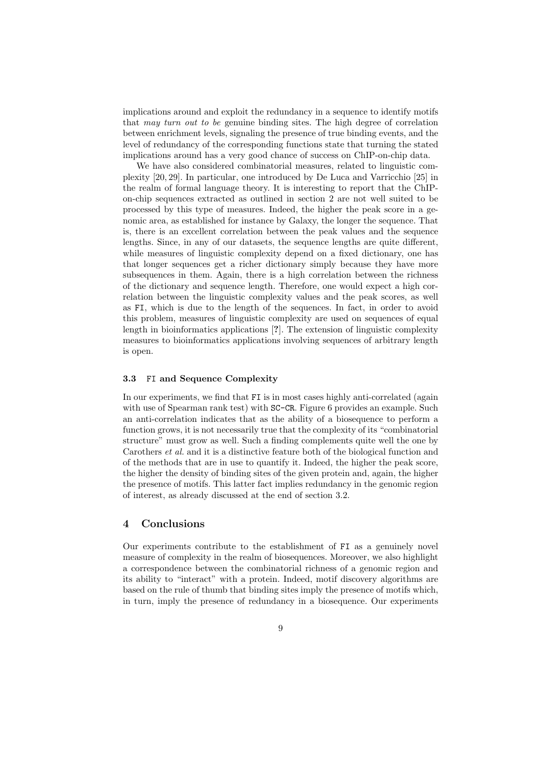implications around and exploit the redundancy in a sequence to identify motifs that *may turn out to be* genuine binding sites. The high degree of correlation between enrichment levels, signaling the presence of true binding events, and the level of redundancy of the corresponding functions state that turning the stated implications around has a very good chance of success on ChIP-on-chip data.

We have also considered combinatorial measures, related to linguistic complexity [20, 29]. In particular, one introduced by De Luca and Varricchio [25] in the realm of formal language theory. It is interesting to report that the ChIPon-chip sequences extracted as outlined in section 2 are not well suited to be processed by this type of measures. Indeed, the higher the peak score in a genomic area, as established for instance by Galaxy, the longer the sequence. That is, there is an excellent correlation between the peak values and the sequence lengths. Since, in any of our datasets, the sequence lengths are quite different, while measures of linguistic complexity depend on a fixed dictionary, one has that longer sequences get a richer dictionary simply because they have more subsequences in them. Again, there is a high correlation between the richness of the dictionary and sequence length. Therefore, one would expect a high correlation between the linguistic complexity values and the peak scores, as well as FI, which is due to the length of the sequences. In fact, in order to avoid this problem, measures of linguistic complexity are used on sequences of equal length in bioinformatics applications [**?**]. The extension of linguistic complexity measures to bioinformatics applications involving sequences of arbitrary length is open.

#### **3.3** FI **and Sequence Complexity**

In our experiments, we find that FI is in most cases highly anti-correlated (again with use of Spearman rank test) with SC-CR. Figure 6 provides an example. Such an anti-correlation indicates that as the ability of a biosequence to perform a function grows, it is not necessarily true that the complexity of its "combinatorial structure" must grow as well. Such a finding complements quite well the one by Carothers *et al.* and it is a distinctive feature both of the biological function and of the methods that are in use to quantify it. Indeed, the higher the peak score, the higher the density of binding sites of the given protein and, again, the higher the presence of motifs. This latter fact implies redundancy in the genomic region of interest, as already discussed at the end of section 3.2.

## **4 Conclusions**

Our experiments contribute to the establishment of FI as a genuinely novel measure of complexity in the realm of biosequences. Moreover, we also highlight a correspondence between the combinatorial richness of a genomic region and its ability to "interact" with a protein. Indeed, motif discovery algorithms are based on the rule of thumb that binding sites imply the presence of motifs which, in turn, imply the presence of redundancy in a biosequence. Our experiments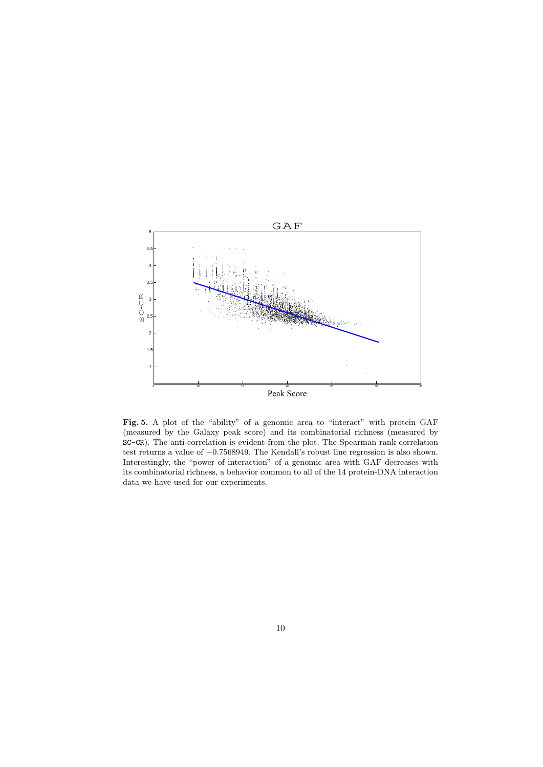

**Fig. 5.** A plot of the "ability" of a genomic area to "interact" with protein GAF (measured by the Galaxy peak score) and its combinatorial richness (measured by SC-CR). The anti-correlation is evident from the plot. The Spearman rank correlation test returns a value of *−*0*.*7568949. The Kendall's robust line regression is also shown. Interestingly, the "power of interaction" of a genomic area with GAF decreases with its combinatorial richness, a behavior common to all of the 14 protein-DNA interaction data we have used for our experiments.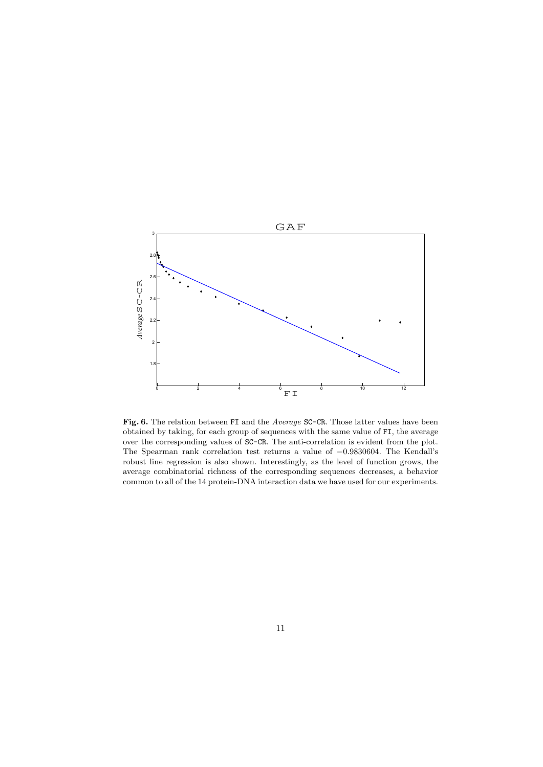

**Fig. 6.** The relation between FI and the *Average* SC-CR. Those latter values have been obtained by taking, for each group of sequences with the same value of FI, the average over the corresponding values of SC-CR. The anti-correlation is evident from the plot. The Spearman rank correlation test returns a value of *−*0*.*9830604. The Kendall's robust line regression is also shown. Interestingly, as the level of function grows, the average combinatorial richness of the corresponding sequences decreases, a behavior common to all of the 14 protein-DNA interaction data we have used for our experiments.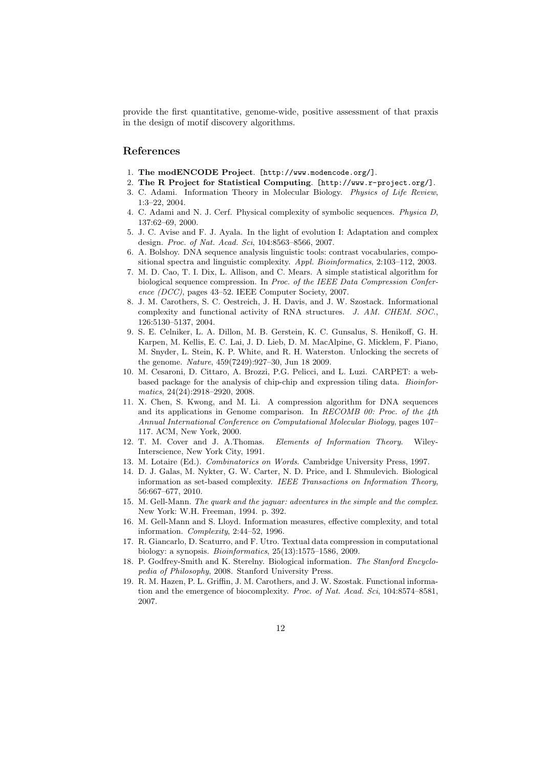provide the first quantitative, genome-wide, positive assessment of that praxis in the design of motif discovery algorithms.

# **References**

- 1. **The modENCODE Project**. [http://www.modencode.org/].
- 2. **The R Project for Statistical Computing**. [http://www.r-project.org/].
- 3. C. Adami. Information Theory in Molecular Biology. *Physics of Life Review*, 1:3–22, 2004.
- 4. C. Adami and N. J. Cerf. Physical complexity of symbolic sequences. *Physica D*, 137:62–69, 2000.
- 5. J. C. Avise and F. J. Ayala. In the light of evolution I: Adaptation and complex design. *Proc. of Nat. Acad. Sci*, 104:8563–8566, 2007.
- 6. A. Bolshoy. DNA sequence analysis linguistic tools: contrast vocabularies, compositional spectra and linguistic complexity. *Appl. Bioinformatics*, 2:103–112, 2003.
- 7. M. D. Cao, T. I. Dix, L. Allison, and C. Mears. A simple statistical algorithm for biological sequence compression. In *Proc. of the IEEE Data Compression Conference (DCC)*, pages 43–52. IEEE Computer Society, 2007.
- 8. J. M. Carothers, S. C. Oestreich, J. H. Davis, and J. W. Szostack. Informational complexity and functional activity of RNA structures. *J. AM. CHEM. SOC.*, 126:5130–5137, 2004.
- 9. S. E. Celniker, L. A. Dillon, M. B. Gerstein, K. C. Gunsalus, S. Henikoff, G. H. Karpen, M. Kellis, E. C. Lai, J. D. Lieb, D. M. MacAlpine, G. Micklem, F. Piano, M. Snyder, L. Stein, K. P. White, and R. H. Waterston. Unlocking the secrets of the genome. *Nature*, 459(7249):927–30, Jun 18 2009.
- 10. M. Cesaroni, D. Cittaro, A. Brozzi, P.G. Pelicci, and L. Luzi. CARPET: a webbased package for the analysis of chip-chip and expression tiling data. *Bioinformatics*, 24(24):2918–2920, 2008.
- 11. X. Chen, S. Kwong, and M. Li. A compression algorithm for DNA sequences and its applications in Genome comparison. In *RECOMB 00: Proc. of the 4th Annual International Conference on Computational Molecular Biology*, pages 107– 117. ACM, New York, 2000.
- 12. T. M. Cover and J. A.Thomas. *Elements of Information Theory*. Wiley-Interscience, New York City, 1991.
- 13. M. Lotaire (Ed.). *Combinatorics on Words*. Cambridge University Press, 1997.
- 14. D. J. Galas, M. Nykter, G. W. Carter, N. D. Price, and I. Shmulevich. Biological information as set-based complexity. *IEEE Transactions on Information Theory*, 56:667–677, 2010.
- 15. M. Gell-Mann. *The quark and the jaguar: adventures in the simple and the complex*. New York: W.H. Freeman, 1994. p. 392.
- 16. M. Gell-Mann and S. Lloyd. Information measures, effective complexity, and total information. *Complexity*, 2:44–52, 1996.
- 17. R. Giancarlo, D. Scaturro, and F. Utro. Textual data compression in computational biology: a synopsis. *Bioinformatics*, 25(13):1575–1586, 2009.
- 18. P. Godfrey-Smith and K. Sterelny. Biological information. *The Stanford Encyclopedia of Philosophy*, 2008. Stanford University Press.
- 19. R. M. Hazen, P. L. Griffin, J. M. Carothers, and J. W. Szostak. Functional information and the emergence of biocomplexity. *Proc. of Nat. Acad. Sci*, 104:8574–8581, 2007.